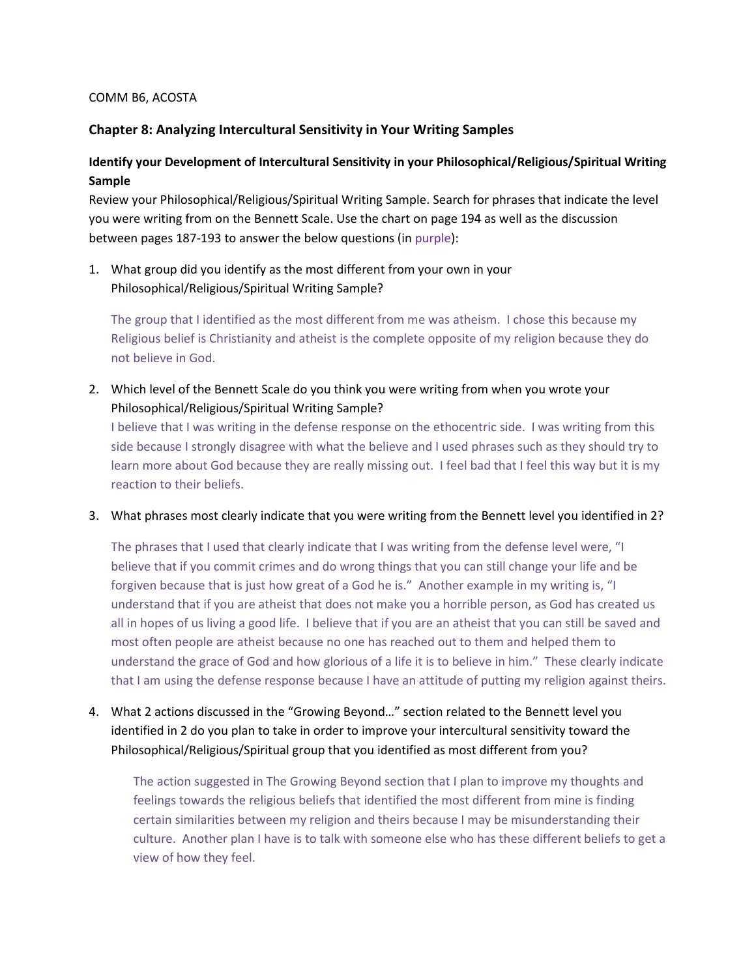#### COMM B6, ACOSTA

## Chapter 8: Analyzing Intercultural Sensitivity in Your Writing Samples

# Identify your Development of Intercultural Sensitivity in your Philosophical/Religious/Spiritual Writing Sample

Review your Philosophical/Religious/Spiritual Writing Sample. Search for phrases that indicate the level you were writing from on the Bennett Scale. Use the chart on page 194 as well as the discussion between pages 187-193 to answer the below questions (in purple):

1. What group did you identify as the most different from your own in your Philosophical/Religious/Spiritual Writing Sample?

The group that I identified as the most different from me was atheism. I chose this because my Religious belief is Christianity and atheist is the complete opposite of my religion because they do not believe in God.

2. Which level of the Bennett Scale do you think you were writing from when you wrote your Philosophical/Religious/Spiritual Writing Sample?

I believe that I was writing in the defense response on the ethocentric side. I was writing from this side because I strongly disagree with what the believe and I used phrases such as they should try to learn more about God because they are really missing out. I feel bad that I feel this way but it is my reaction to their beliefs.

3. What phrases most clearly indicate that you were writing from the Bennett level you identified in 2?

The phrases that I used that clearly indicate that I was writing from the defense level were, "I believe that if you commit crimes and do wrong things that you can still change your life and be forgiven because that is just how great of a God he is." Another example in my writing is, "I understand that if you are atheist that does not make you a horrible person, as God has created us all in hopes of us living a good life. I believe that if you are an atheist that you can still be saved and most often people are atheist because no one has reached out to them and helped them to understand the grace of God and how glorious of a life it is to believe in him." These clearly indicate that I am using the defense response because I have an attitude of putting my religion against theirs.

4. What 2 actions discussed in the "Growing Beyond…" section related to the Bennett level you identified in 2 do you plan to take in order to improve your intercultural sensitivity toward the Philosophical/Religious/Spiritual group that you identified as most different from you?

The action suggested in The Growing Beyond section that I plan to improve my thoughts and feelings towards the religious beliefs that identified the most different from mine is finding certain similarities between my religion and theirs because I may be misunderstanding their culture. Another plan I have is to talk with someone else who has these different beliefs to get a view of how they feel.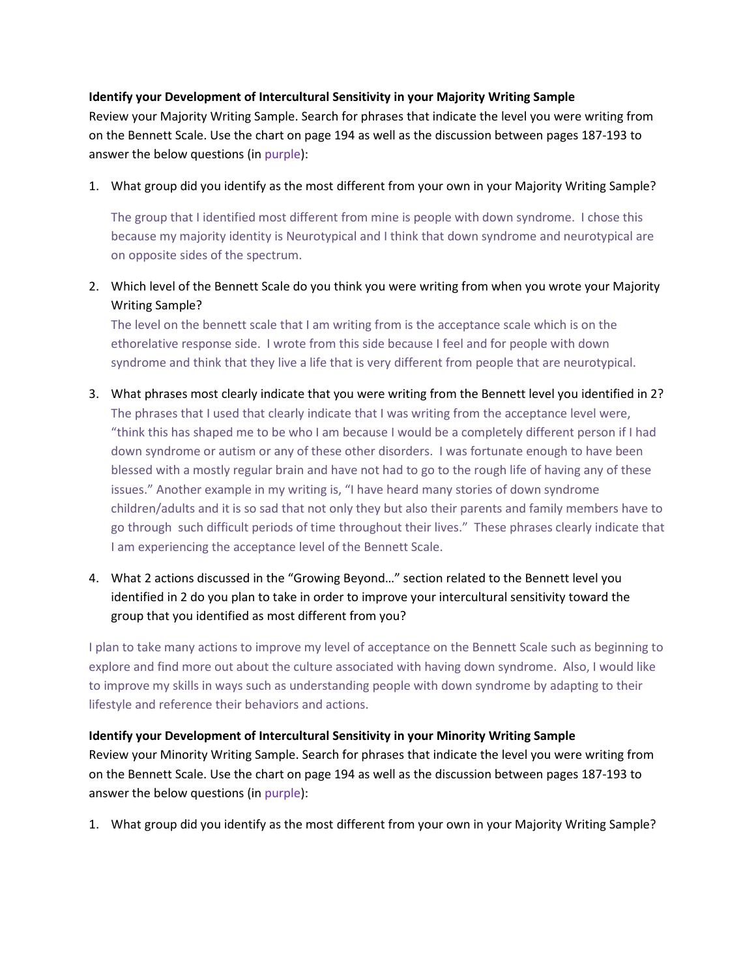## Identify your Development of Intercultural Sensitivity in your Majority Writing Sample

Review your Majority Writing Sample. Search for phrases that indicate the level you were writing from on the Bennett Scale. Use the chart on page 194 as well as the discussion between pages 187-193 to answer the below questions (in purple):

1. What group did you identify as the most different from your own in your Majority Writing Sample?

The group that I identified most different from mine is people with down syndrome. I chose this because my majority identity is Neurotypical and I think that down syndrome and neurotypical are on opposite sides of the spectrum.

2. Which level of the Bennett Scale do you think you were writing from when you wrote your Majority Writing Sample?

The level on the bennett scale that I am writing from is the acceptance scale which is on the ethorelative response side. I wrote from this side because I feel and for people with down syndrome and think that they live a life that is very different from people that are neurotypical.

- 3. What phrases most clearly indicate that you were writing from the Bennett level you identified in 2? The phrases that I used that clearly indicate that I was writing from the acceptance level were, "think this has shaped me to be who I am because I would be a completely different person if I had down syndrome or autism or any of these other disorders. I was fortunate enough to have been blessed with a mostly regular brain and have not had to go to the rough life of having any of these issues." Another example in my writing is, "I have heard many stories of down syndrome children/adults and it is so sad that not only they but also their parents and family members have to go through such difficult periods of time throughout their lives." These phrases clearly indicate that I am experiencing the acceptance level of the Bennett Scale.
- 4. What 2 actions discussed in the "Growing Beyond…" section related to the Bennett level you identified in 2 do you plan to take in order to improve your intercultural sensitivity toward the group that you identified as most different from you?

I plan to take many actions to improve my level of acceptance on the Bennett Scale such as beginning to explore and find more out about the culture associated with having down syndrome. Also, I would like to improve my skills in ways such as understanding people with down syndrome by adapting to their lifestyle and reference their behaviors and actions.

#### Identify your Development of Intercultural Sensitivity in your Minority Writing Sample

Review your Minority Writing Sample. Search for phrases that indicate the level you were writing from on the Bennett Scale. Use the chart on page 194 as well as the discussion between pages 187-193 to answer the below questions (in purple):

1. What group did you identify as the most different from your own in your Majority Writing Sample?